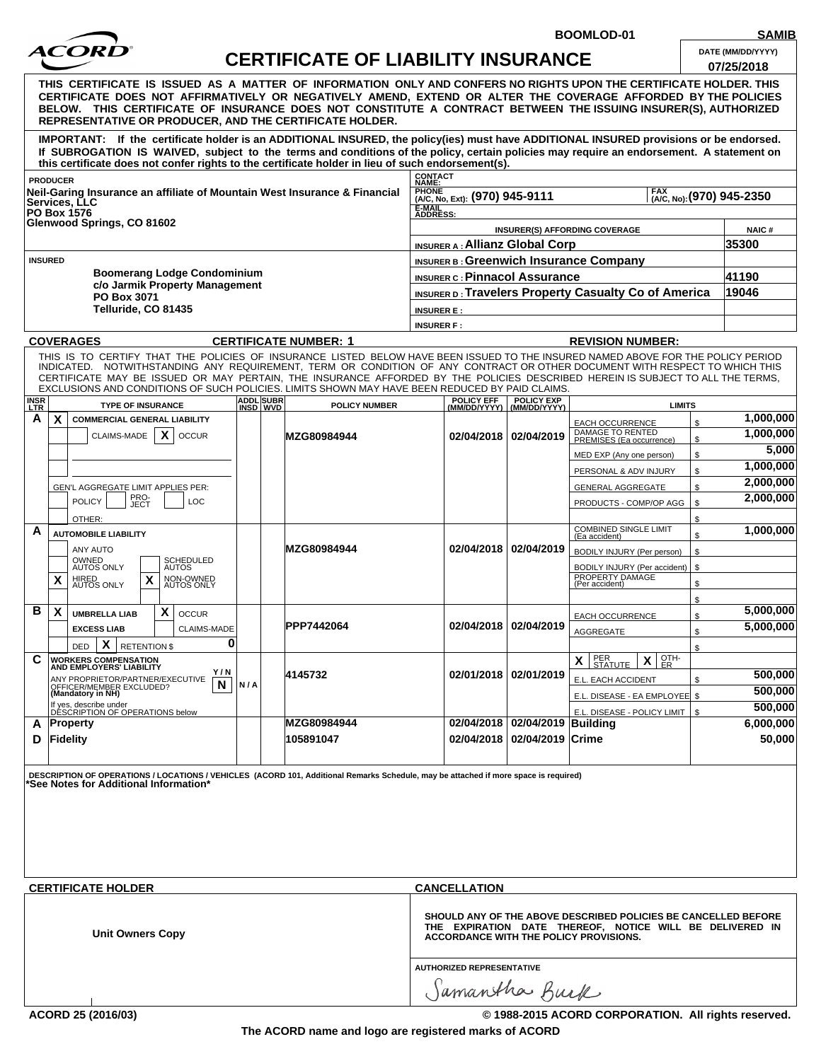

**SAMIB**<br>DATE (MM/DD/YYYY)

**BOOMLOD-01**

| AМ |
|----|
|    |

|                                                                                        | ACOKD                                                                                                                                                                                                                                                                                                                                                                                                            |                              | <b>CERTIFICATE OF LIABILITY INSURANCE</b>     |                                                                    |                                                    |                                                      | DATE (MM/DD/YYYY)<br>07/25/2018 |
|----------------------------------------------------------------------------------------|------------------------------------------------------------------------------------------------------------------------------------------------------------------------------------------------------------------------------------------------------------------------------------------------------------------------------------------------------------------------------------------------------------------|------------------------------|-----------------------------------------------|--------------------------------------------------------------------|----------------------------------------------------|------------------------------------------------------|---------------------------------|
|                                                                                        | THIS CERTIFICATE IS ISSUED AS A MATTER OF INFORMATION ONLY AND CONFERS NO RIGHTS UPON THE CERTIFICATE HOLDER. THIS<br>CERTIFICATE DOES NOT AFFIRMATIVELY OR NEGATIVELY AMEND, EXTEND OR ALTER THE COVERAGE AFFORDED BY THE POLICIES<br>BELOW. THIS CERTIFICATE OF INSURANCE DOES NOT CONSTITUTE A CONTRACT BETWEEN THE ISSUING INSURER(S), AUTHORIZED<br>REPRESENTATIVE OR PRODUCER. AND THE CERTIFICATE HOLDER. |                              |                                               |                                                                    |                                                    |                                                      |                                 |
|                                                                                        | IMPORTANT: If the certificate holder is an ADDITIONAL INSURED, the policy(ies) must have ADDITIONAL INSURED provisions or be endorsed.<br>If SUBROGATION IS WAIVED, subject to the terms and conditions of the policy, certain policies may require an endorsement. A statement on<br>this certificate does not confer rights to the certificate holder in lieu of such endorsement(s).                          |                              |                                               |                                                                    |                                                    |                                                      |                                 |
|                                                                                        | <b>PRODUCER</b><br>Neil-Garing Insurance an affiliate of Mountain West Insurance & Financial<br>Services. LLC                                                                                                                                                                                                                                                                                                    |                              |                                               | CONTACT<br>NAME:<br><b>PHONE</b><br>(A/C, No, Ext): (970) 945-9111 |                                                    | <b>FAX</b>                                           | [AAC, No): (970) 945-2350       |
| <b>PO Box 1576</b><br>Glenwood Springs, CO 81602                                       |                                                                                                                                                                                                                                                                                                                                                                                                                  |                              | E-MAIL<br>ADDRESS:                            |                                                                    |                                                    |                                                      |                                 |
|                                                                                        |                                                                                                                                                                                                                                                                                                                                                                                                                  |                              | <b>INSURER(S) AFFORDING COVERAGE</b>          | <b>NAIC#</b>                                                       |                                                    |                                                      |                                 |
|                                                                                        |                                                                                                                                                                                                                                                                                                                                                                                                                  |                              |                                               | <b>INSURER A: Allianz Global Corp</b>                              |                                                    |                                                      | 35300                           |
| <b>INSURED</b><br><b>Boomerang Lodge Condominium</b><br>c/o Jarmik Property Management |                                                                                                                                                                                                                                                                                                                                                                                                                  |                              | <b>INSURER B: Greenwich Insurance Company</b> |                                                                    |                                                    |                                                      |                                 |
|                                                                                        |                                                                                                                                                                                                                                                                                                                                                                                                                  |                              | <b>INSURER C: Pinnacol Assurance</b>          |                                                                    |                                                    | 41190                                                |                                 |
|                                                                                        | PO Box 3071                                                                                                                                                                                                                                                                                                                                                                                                      |                              |                                               |                                                                    |                                                    | INSURER D: Travelers Property Casualty Co of America | 19046                           |
|                                                                                        | Telluride, CO 81435                                                                                                                                                                                                                                                                                                                                                                                              |                              |                                               | <b>INSURER E:</b>                                                  |                                                    |                                                      |                                 |
|                                                                                        |                                                                                                                                                                                                                                                                                                                                                                                                                  |                              |                                               | <b>INSURER F:</b>                                                  |                                                    |                                                      |                                 |
|                                                                                        | <b>COVERAGES</b><br>THIS IS TO CERTIFY THAT THE POLICIES OF INSURANCE LISTED BELOW HAVE BEEN ISSUED TO THE INSURED NAMED ABOVE FOR THE POLICY PERIOD                                                                                                                                                                                                                                                             |                              | <b>CERTIFICATE NUMBER: 1</b>                  |                                                                    |                                                    | <b>REVISION NUMBER:</b>                              |                                 |
|                                                                                        | INDICATED. NOTWITHSTANDING ANY REQUIREMENT, TERM OR CONDITION OF ANY CONTRACT OR OTHER DOCUMENT WITH RESPECT TO WHICH THIS<br>CERTIFICATE MAY BE ISSUED OR MAY PERTAIN, THE INSURANCE AFFORDED BY THE POLICIES DESCRIBED HEREIN IS SUBJECT TO ALL THE TERMS,<br>EXCLUSIONS AND CONDITIONS OF SUCH POLICIES. LIMITS SHOWN MAY HAVE BEEN REDUCED BY PAID CLAIMS.                                                   |                              |                                               |                                                                    |                                                    |                                                      |                                 |
| <b>INSR</b><br><b>LTR</b>                                                              | <b>TYPE OF INSURANCE</b>                                                                                                                                                                                                                                                                                                                                                                                         | <b>ADDL</b> SUBR<br>INSD WVD | <b>POLICY NUMBER</b>                          |                                                                    | POLICY EFF POLICY EXP<br>(MM/DD/YYYY) (MM/DD/YYYY) | <b>LIMITS</b>                                        |                                 |
| A                                                                                      | $\boldsymbol{\mathsf{x}}$<br><b>COMMERCIAL GENERAL LIABILITY</b>                                                                                                                                                                                                                                                                                                                                                 |                              |                                               |                                                                    |                                                    | <b>EACH OCCURRENCE</b>                               | 1,000,000<br>\$                 |
|                                                                                        | $\boldsymbol{\mathsf{x}}$<br>CLAIMS-MADE<br><b>OCCUR</b>                                                                                                                                                                                                                                                                                                                                                         |                              | MZG80984944                                   | 02/04/2018                                                         | 02/04/2019                                         | DAMAGE TO RENTED<br>PREMISES (Ea occurrence)         | 1,000,000<br>\$                 |
|                                                                                        |                                                                                                                                                                                                                                                                                                                                                                                                                  |                              |                                               |                                                                    |                                                    | MED EXP (Any one person)                             | 5,000<br>\$                     |
|                                                                                        |                                                                                                                                                                                                                                                                                                                                                                                                                  |                              |                                               |                                                                    |                                                    | PERSONAL & ADV INJURY                                | 1,000,000<br>\$                 |
|                                                                                        | GEN'L AGGREGATE LIMIT APPLIES PER:                                                                                                                                                                                                                                                                                                                                                                               |                              |                                               |                                                                    |                                                    | <b>GENERAL AGGREGATE</b>                             | 2,000,000<br>\$                 |
|                                                                                        | PRO-<br>JECT<br><b>POLICY</b><br>LOC                                                                                                                                                                                                                                                                                                                                                                             |                              |                                               |                                                                    |                                                    | PRODUCTS - COMP/OP AGG                               | 2,000,000<br>\$                 |
|                                                                                        | OTHER:                                                                                                                                                                                                                                                                                                                                                                                                           |                              |                                               |                                                                    |                                                    |                                                      | \$                              |
| A                                                                                      | <b>AUTOMOBILE LIABILITY</b>                                                                                                                                                                                                                                                                                                                                                                                      |                              |                                               |                                                                    |                                                    | <b>COMBINED SINGLE LIMIT</b>                         | 1,000,000<br>\$                 |
|                                                                                        | ANY AUTO                                                                                                                                                                                                                                                                                                                                                                                                         |                              | MZG80984944                                   | 02/04/2018                                                         | 02/04/2019                                         | (Ea accident)<br>BODILY INJURY (Per person)          | \$                              |
|                                                                                        | OWNED<br>AUTOS ONLY<br>SCHEDULED<br>AUTOS                                                                                                                                                                                                                                                                                                                                                                        |                              |                                               |                                                                    |                                                    | BODILY INJURY (Per accident)                         | \$                              |
|                                                                                        | HIRED<br>AUTOS ONLY<br>X<br>X<br>NON-OWNED<br>AUTOS ONLY                                                                                                                                                                                                                                                                                                                                                         |                              |                                               |                                                                    |                                                    | PROPERTY DAMAGE<br>(Per accident)                    | \$                              |
|                                                                                        |                                                                                                                                                                                                                                                                                                                                                                                                                  |                              |                                               |                                                                    |                                                    |                                                      | \$                              |
| в                                                                                      | $\mathbf{x}$<br>X<br><b>UMBRELLA LIAB</b><br><b>OCCUR</b>                                                                                                                                                                                                                                                                                                                                                        |                              |                                               |                                                                    |                                                    | <b>EACH OCCURRENCE</b>                               | 5,000,000<br>\$                 |
|                                                                                        | <b>EXCESS LIAB</b><br><b>CLAIMS-MADE</b>                                                                                                                                                                                                                                                                                                                                                                         |                              | PPP7442064                                    |                                                                    | 02/04/2018 02/04/2019                              | AGGREGATE                                            | 5,000,000<br>\$                 |
|                                                                                        | 0<br>X<br><b>RETENTION \$</b><br><b>DED</b>                                                                                                                                                                                                                                                                                                                                                                      |                              |                                               |                                                                    |                                                    |                                                      | \$                              |
| С                                                                                      | <b>WORKERS COMPENSATION</b><br><b>AND EMPLOYERS' LIABILITY</b>                                                                                                                                                                                                                                                                                                                                                   |                              |                                               |                                                                    |                                                    | PER<br>STATUTE<br>OTH-<br>ER<br>X<br>X               |                                 |
|                                                                                        | Y/N<br>ANY PROPRIETOR/PARTNER/EXECUTIVE                                                                                                                                                                                                                                                                                                                                                                          |                              | 4145732                                       |                                                                    | 02/01/2018   02/01/2019                            | E.L. EACH ACCIDENT                                   | 500,000<br>\$                   |
|                                                                                        | N<br>OFFICER/MEMBER EXCLUDED?<br>(Mandatory in NH)                                                                                                                                                                                                                                                                                                                                                               | N/A                          |                                               |                                                                    |                                                    | E.L. DISEASE - EA EMPLOYEE \$                        | 500,000                         |
|                                                                                        | If yes, describe under<br>DÉSCRIPTION OF OPERATIONS below                                                                                                                                                                                                                                                                                                                                                        |                              |                                               |                                                                    |                                                    | E.L. DISEASE - POLICY LIMIT                          | 500,000<br>\$                   |
| A<br>D                                                                                 | <b>Property</b><br>Fidelity                                                                                                                                                                                                                                                                                                                                                                                      |                              | MZG80984944<br>105891047                      | 02/04/2018<br>02/04/2018                                           | 02/04/2019 Building<br>02/04/2019 Crime            |                                                      | 6,000,000<br>50,000             |

| <b>CERTIFICATE HOLDER</b> | <b>CANCELLATION</b>                                                                                                                                                  |
|---------------------------|----------------------------------------------------------------------------------------------------------------------------------------------------------------------|
| <b>Unit Owners Copy</b>   | SHOULD ANY OF THE ABOVE DESCRIBED POLICIES BE CANCELLED BEFORE<br>THE EXPIRATION DATE THEREOF, NOTICE WILL BE DELIVERED IN<br>ACCORDANCE WITH THE POLICY PROVISIONS. |
|                           | <b>AUTHORIZED REPRESENTATIVE</b>                                                                                                                                     |
|                           | Samantha Burk                                                                                                                                                        |

**ACORD 25 (2016/03) © 1988-2015 ACORD CORPORATION. All rights reserved.**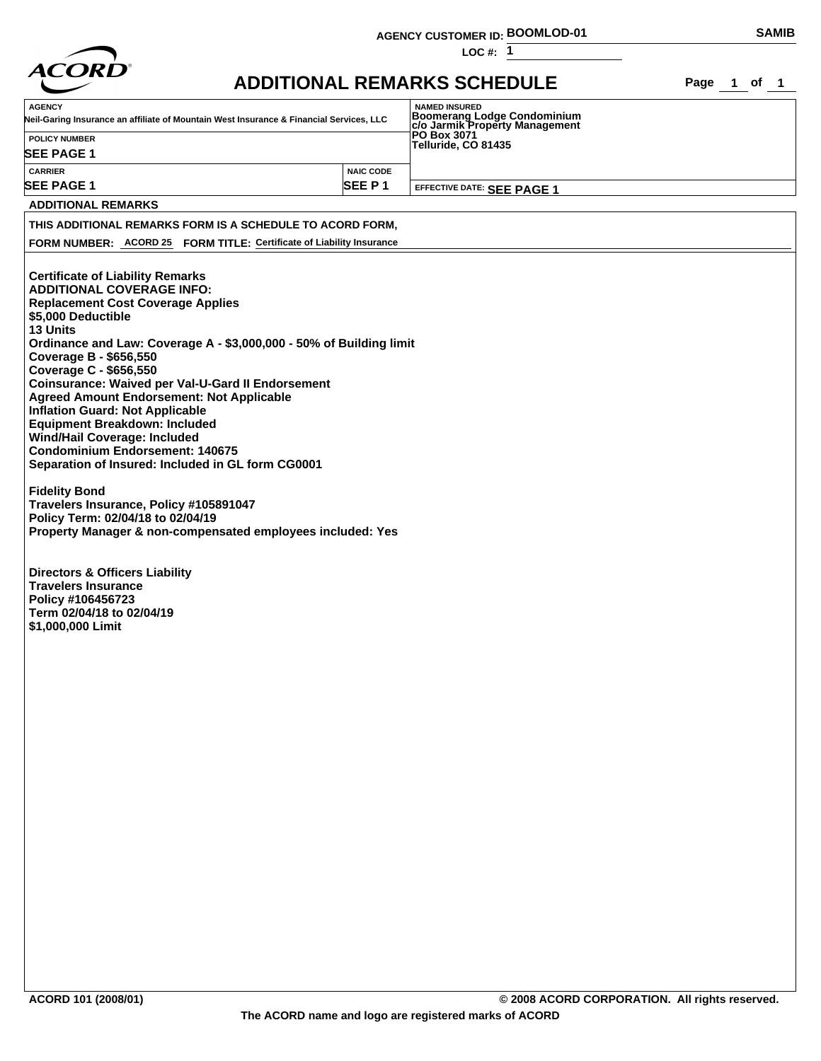|                                                                                                                                                                                                                                                                                                                                                                                                                                                                                                                                                                                                                                                     | <b>AGENCY CUSTOMER ID: BOOMLOD-01</b> |                                                                      |             | <b>SAMIB</b> |  |  |
|-----------------------------------------------------------------------------------------------------------------------------------------------------------------------------------------------------------------------------------------------------------------------------------------------------------------------------------------------------------------------------------------------------------------------------------------------------------------------------------------------------------------------------------------------------------------------------------------------------------------------------------------------------|---------------------------------------|----------------------------------------------------------------------|-------------|--------------|--|--|
|                                                                                                                                                                                                                                                                                                                                                                                                                                                                                                                                                                                                                                                     |                                       | LOC #: $1$                                                           |             |              |  |  |
| <i><b>ACORD</b></i>                                                                                                                                                                                                                                                                                                                                                                                                                                                                                                                                                                                                                                 |                                       | <b>ADDITIONAL REMARKS SCHEDULE</b>                                   | Page 1 of 1 |              |  |  |
| <b>AGENCY</b>                                                                                                                                                                                                                                                                                                                                                                                                                                                                                                                                                                                                                                       |                                       | <b>NAMED INSURED</b>                                                 |             |              |  |  |
| Neil-Garing Insurance an affiliate of Mountain West Insurance & Financial Services, LLC                                                                                                                                                                                                                                                                                                                                                                                                                                                                                                                                                             |                                       | <b>Boomerang Lodge Condominium</b><br>c/o Jarmik Property Management |             |              |  |  |
| <b>POLICY NUMBER</b>                                                                                                                                                                                                                                                                                                                                                                                                                                                                                                                                                                                                                                |                                       | PO Box 3071<br>Telluride, CO 81435                                   |             |              |  |  |
| <b>SEE PAGE 1</b>                                                                                                                                                                                                                                                                                                                                                                                                                                                                                                                                                                                                                                   |                                       |                                                                      |             |              |  |  |
| <b>CARRIER</b><br><b>SEE PAGE 1</b>                                                                                                                                                                                                                                                                                                                                                                                                                                                                                                                                                                                                                 | <b>NAIC CODE</b><br>SEE P1            | EFFECTIVE DATE: SEE PAGE 1                                           |             |              |  |  |
| <b>ADDITIONAL REMARKS</b>                                                                                                                                                                                                                                                                                                                                                                                                                                                                                                                                                                                                                           |                                       |                                                                      |             |              |  |  |
| THIS ADDITIONAL REMARKS FORM IS A SCHEDULE TO ACORD FORM,                                                                                                                                                                                                                                                                                                                                                                                                                                                                                                                                                                                           |                                       |                                                                      |             |              |  |  |
| FORM NUMBER: ACORD 25 FORM TITLE: Certificate of Liability Insurance                                                                                                                                                                                                                                                                                                                                                                                                                                                                                                                                                                                |                                       |                                                                      |             |              |  |  |
|                                                                                                                                                                                                                                                                                                                                                                                                                                                                                                                                                                                                                                                     |                                       |                                                                      |             |              |  |  |
| <b>ADDITIONAL COVERAGE INFO:</b><br><b>Replacement Cost Coverage Applies</b><br>\$5,000 Deductible<br>13 Units<br>Ordinance and Law: Coverage A - \$3,000,000 - 50% of Building limit<br>Coverage B - \$656,550<br>Coverage C - \$656,550<br><b>Coinsurance: Waived per Val-U-Gard II Endorsement</b><br><b>Agreed Amount Endorsement: Not Applicable</b><br><b>Inflation Guard: Not Applicable</b><br><b>Equipment Breakdown: Included</b><br><b>Wind/Hail Coverage: Included</b><br><b>Condominium Endorsement: 140675</b><br>Separation of Insured: Included in GL form CG0001<br><b>Fidelity Bond</b><br>Travelers Insurance, Policy #105891047 |                                       |                                                                      |             |              |  |  |
| Policy Term: 02/04/18 to 02/04/19<br>Property Manager & non-compensated employees included: Yes                                                                                                                                                                                                                                                                                                                                                                                                                                                                                                                                                     |                                       |                                                                      |             |              |  |  |
| <b>Directors &amp; Officers Liability</b><br><b>Travelers Insurance</b><br>Policy #106456723<br>Term 02/04/18 to 02/04/19<br>\$1,000,000 Limit                                                                                                                                                                                                                                                                                                                                                                                                                                                                                                      |                                       |                                                                      |             |              |  |  |
|                                                                                                                                                                                                                                                                                                                                                                                                                                                                                                                                                                                                                                                     |                                       |                                                                      |             |              |  |  |
|                                                                                                                                                                                                                                                                                                                                                                                                                                                                                                                                                                                                                                                     |                                       |                                                                      |             |              |  |  |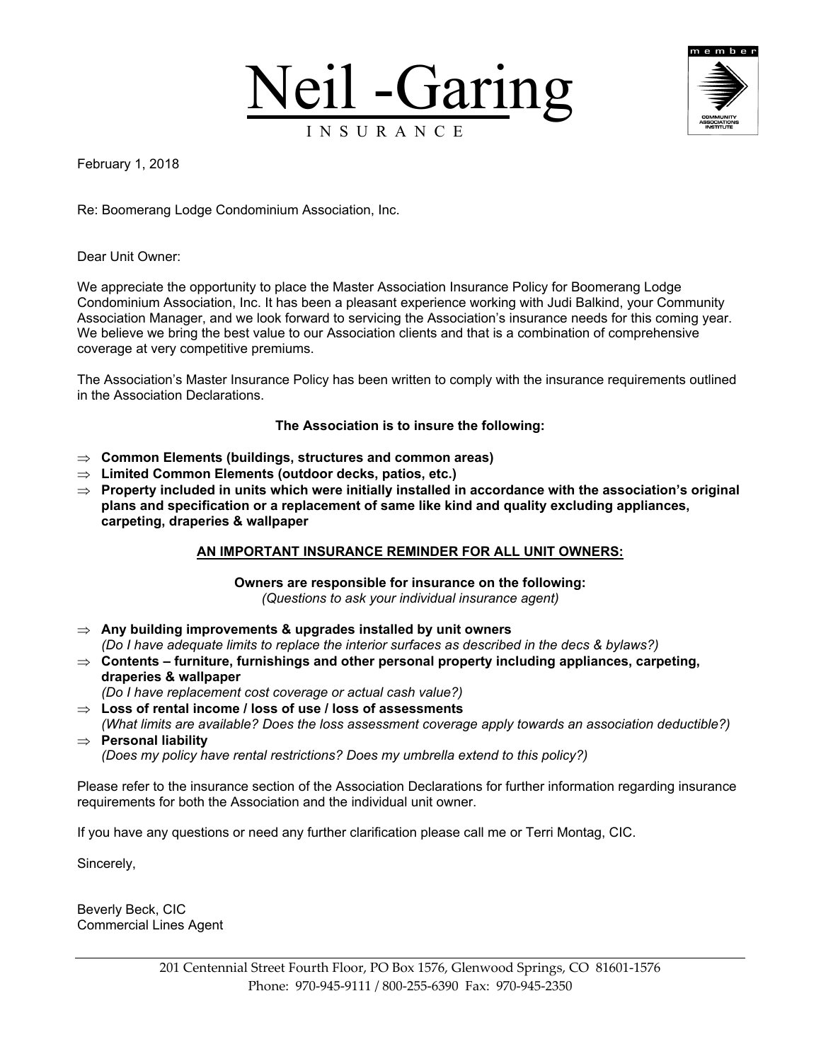



February 1, 2018

Re: Boomerang Lodge Condominium Association, Inc.

Dear Unit Owner:

We appreciate the opportunity to place the Master Association Insurance Policy for Boomerang Lodge Condominium Association, Inc. It has been a pleasant experience working with Judi Balkind, your Community Association Manager, and we look forward to servicing the Association's insurance needs for this coming year. We believe we bring the best value to our Association clients and that is a combination of comprehensive coverage at very competitive premiums.

The Association's Master Insurance Policy has been written to comply with the insurance requirements outlined in the Association Declarations.

## **The Association is to insure the following:**

- **Common Elements (buildings, structures and common areas)**
- **Limited Common Elements (outdoor decks, patios, etc.)**
- **Property included in units which were initially installed in accordance with the association's original plans and specification or a replacement of same like kind and quality excluding appliances, carpeting, draperies & wallpaper**

## **AN IMPORTANT INSURANCE REMINDER FOR ALL UNIT OWNERS:**

**Owners are responsible for insurance on the following:** *(Questions to ask your individual insurance agent)*

- **Any building improvements & upgrades installed by unit owners**  *(Do I have adequate limits to replace the interior surfaces as described in the decs & bylaws?)*
- $\Rightarrow$  Contents furniture, furnishings and other personal property including appliances, carpeting, **draperies & wallpaper**

*(Do I have replacement cost coverage or actual cash value?)*

- **Loss of rental income / loss of use / loss of assessments** *(What limits are available? Does the loss assessment coverage apply towards an association deductible?)*
- **Personal liability** *(Does my policy have rental restrictions? Does my umbrella extend to this policy?)*

Please refer to the insurance section of the Association Declarations for further information regarding insurance requirements for both the Association and the individual unit owner.

If you have any questions or need any further clarification please call me or Terri Montag, CIC.

Sincerely,

Beverly Beck, CIC Commercial Lines Agent